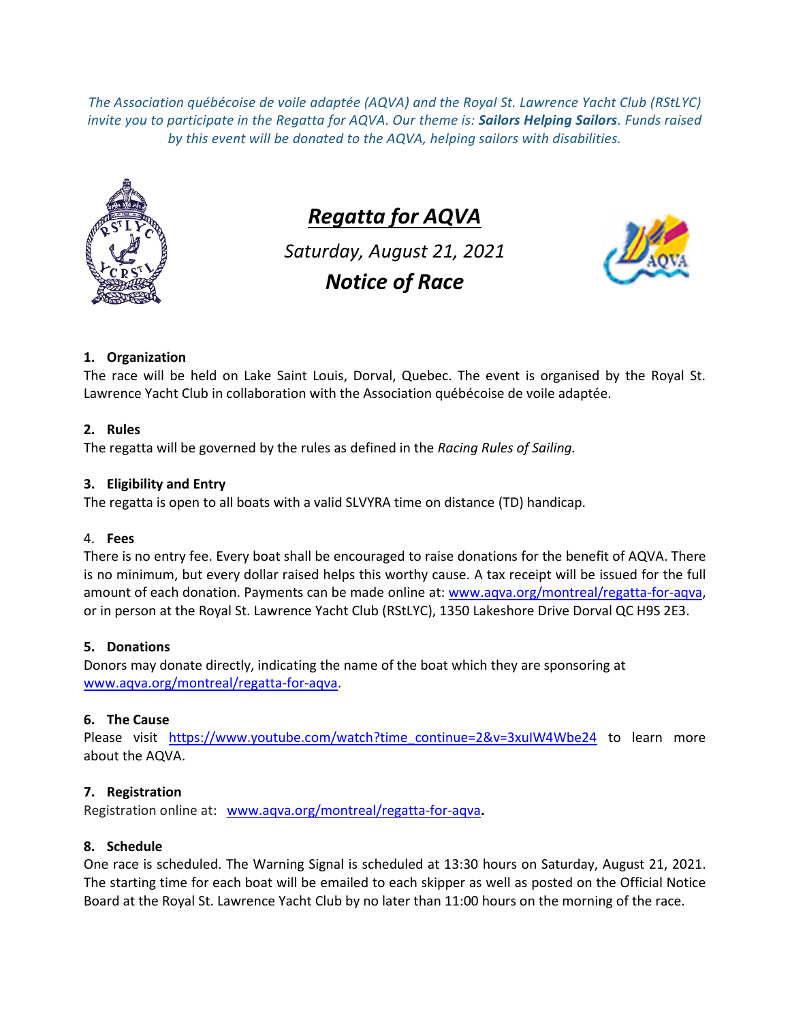*The Association québécoise de voile adaptée (AQVA) and the Royal St. Lawrence Yacht Club (RStLYC) invite you to participate in the Regatta for AQVA. Our theme is: Sailors Helping Sailors. Funds raised by this event will be donated to the AQVA, helping sailors with disabilities.*



# *Regatta for AQVA*

*Saturday, August 21, 2021 Notice of Race*



# **1. Organization**

The race will be held on Lake Saint Louis, Dorval, Quebec. The event is organised by the Royal St. Lawrence Yacht Club in collaboration with the Association québécoise de voile adaptée.

# **2. Rules**

The regatta will be governed by the rules as defined in the *Racing Rules of Sailing.*

## **3. Eligibility and Entry**

The regatta is open to all boats with a valid SLVYRA time on distance (TD) handicap.

## 4. **Fees**

There is no entry fee. Every boat shall be encouraged to raise donations for the benefit of AQVA. There is no minimum, but every dollar raised helps this worthy cause. A tax receipt will be issued for the full amount of each donation. Payments can be made online at: [www.aqva.org/montreal/regatta-for-aqva,](http://www.aqva.org/montreal/regatta-for-aqva) or in person at the Royal St. Lawrence Yacht Club (RStLYC), 1350 Lakeshore Drive Dorval QC H9S 2E3.

# **5. Donations**

Donors may donate directly, indicating the name of the boat which they are sponsoring at [www.aqva.org/montreal/regatta-for-aqva.](http://www.aqva.org/montreal/regatta-for-aqva)

# **6. The Cause**

Please visit [https://www.youtube.com/watch?time\\_continue=2&v=3xuIW4Wbe24](https://www.youtube.com/watch?time_continue=2&v=3xuIW4Wbe24) to learn more about the AQVA.

# **7. Registration**

Registration online at: [www.aqva.org/montreal/regatta-for-aqva](http://www.aqva.org/montreal/regatta-for-aqva)**.**

## **8. Schedule**

One race is scheduled. The Warning Signal is scheduled at 13:30 hours on Saturday, August 21, 2021. The starting time for each boat will be emailed to each skipper as well as posted on the Official Notice Board at the Royal St. Lawrence Yacht Club by no later than 11:00 hours on the morning of the race.